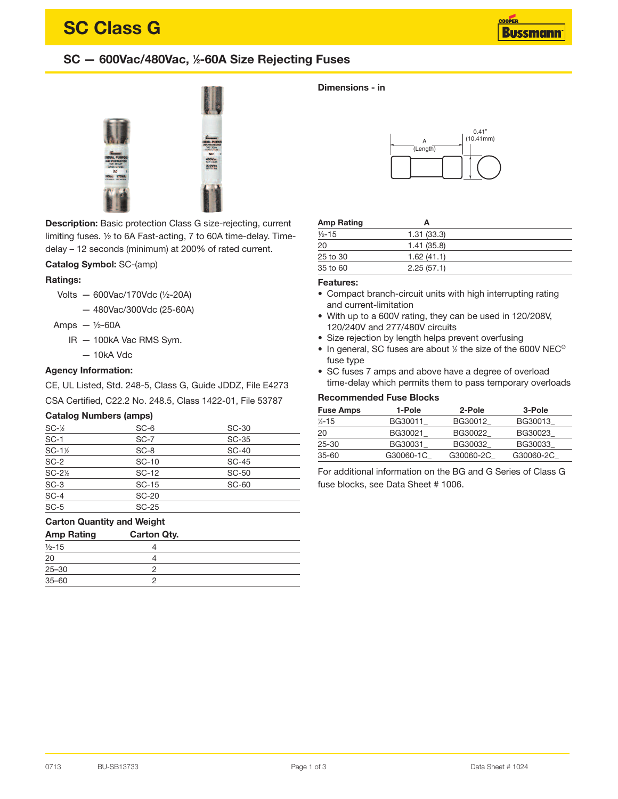# **SC Class G**

### **SC — 600Vac/480Vac, <sup>1</sup> ⁄2-60A Size Rejecting Fuses**



**Description:** Basic protection Class G size-rejecting, current limiting fuses. ½ to 6A Fast-acting, 7 to 60A time-delay. Timedelay – 12 seconds (minimum) at 200% of rated current.

#### **Catalog Symbol:** SC-(amp)

#### **Ratings:**

Volts — 600Vac/170Vdc (½-20A)

— 480Vac/300Vdc (25-60A)

Amps  $-$  1/2-60A

- IR 100kA Vac RMS Sym.
	- 10kA Vdc

#### **Agency Information:**

CE, UL Listed, Std. 248-5, Class G, Guide JDDZ, File E4273 CSA Certified, C22.2 No. 248.5, Class 1422-01, File 53787

#### **Catalog Numbers (amps)**

| $SC-$ <sup><math>\frac{1}{2}</math></sup> | $SC-6$       | <b>SC-30</b> |
|-------------------------------------------|--------------|--------------|
| $SC-1$                                    | $SC-7$       | SC-35        |
| $SC-1$ $\frac{1}{2}$                      | $SC-8$       | <b>SC-40</b> |
| $SC-2$                                    | SC-10        | <b>SC-45</b> |
| $SC-2\%$                                  | SC-12        | <b>SC-50</b> |
| $SC-3$                                    | $SC-15$      | <b>SC-60</b> |
| $SC-4$                                    | <b>SC-20</b> |              |
| $SC-5$                                    | $SC-25$      |              |

#### **Carton Quantity and Weight**

| <b>Amp Rating</b> | <b>Carton Qty.</b> |  |
|-------------------|--------------------|--|
| $1/2 - 15$        |                    |  |
| 20                |                    |  |
| $25 - 30$         |                    |  |
| $35 - 60$         |                    |  |

#### **Dimensions - in**



#### **Amp Rating A**

| Allip Raulig | A          |  |
|--------------|------------|--|
| $1/2 - 15$   | 1.31(33.3) |  |
| 20           | 1.41(35.8) |  |
| 25 to 30     | 1.62(41.1) |  |
| 35 to 60     | 2.25(57.1) |  |

#### **Features:**

- Compact branch-circuit units with high interrupting rating and current-limitation
- With up to a 600V rating, they can be used in 120/208V, 120/240V and 277/480V circuits
- Size rejection by length helps prevent overfusing
- In general, SC fuses are about 1/2 the size of the 600V NEC® fuse type
- SC fuses 7 amps and above have a degree of overload time-delay which permits them to pass temporary overloads

#### **Recommended Fuse Blocks**

| <b>Fuse Amps</b>  | 1-Pole    | 2-Pole    | 3-Pole    |
|-------------------|-----------|-----------|-----------|
| $\frac{1}{2}$ -15 | BG30011   | BG30012   | BG30013   |
| -20               | BG30021   | BG30022   | BG30023   |
| 25-30             | BG30031   | BG30032   | BG30033   |
| 35-60             | G30060-1C | G30060-2C | G30060-2C |

For additional information on the BG and G Series of Class G fuse blocks, see Data Sheet # 1006.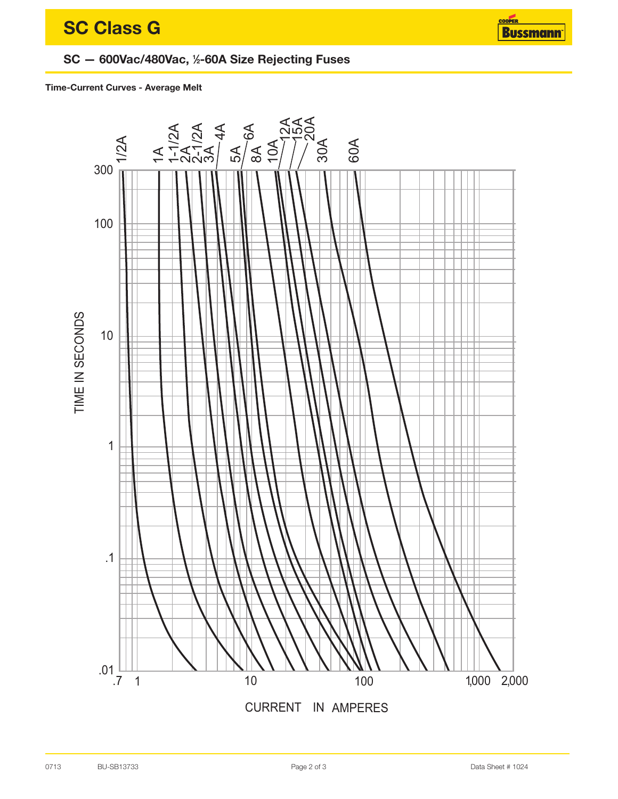## SC - 600Vac/480Vac, 1/2-60A Size Rejecting Fuses

#### Time-Current Curves - Average Melt